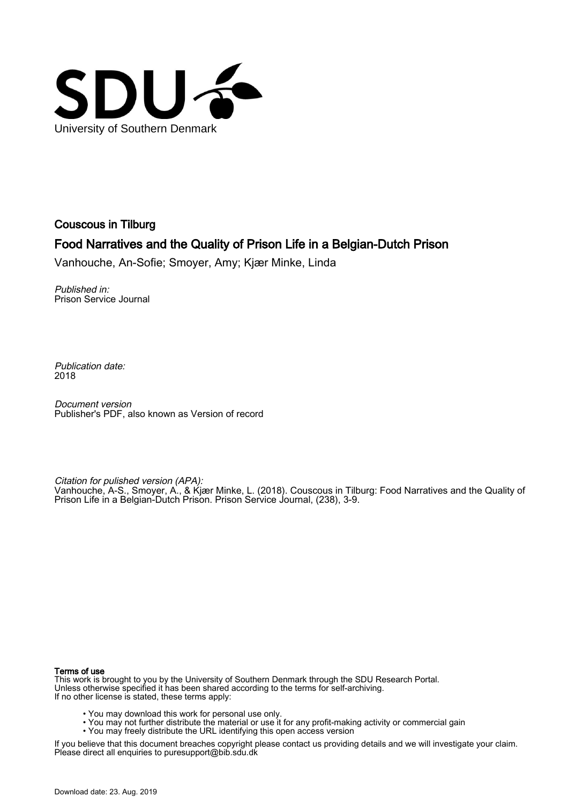

Couscous in Tilburg

## Food Narratives and the Quality of Prison Life in a Belgian-Dutch Prison

Vanhouche, An-Sofie; Smoyer, Amy; Kjær Minke, Linda

Published in: Prison Service Journal

Publication date: 2018

Document version Publisher's PDF, also known as Version of record

Citation for pulished version (APA):

Vanhouche, A-S., Smoyer, A., & Kjær Minke, L. (2018). Couscous in Tilburg: Food Narratives and the Quality of Prison Life in a Belgian-Dutch Prison. Prison Service Journal, (238), 3-9.

#### Terms of use

This work is brought to you by the University of Southern Denmark through the SDU Research Portal. Unless otherwise specified it has been shared according to the terms for self-archiving. If no other license is stated, these terms apply:

- You may download this work for personal use only.
- You may not further distribute the material or use it for any profit-making activity or commercial gain
- You may freely distribute the URL identifying this open access version

If you believe that this document breaches copyright please contact us providing details and we will investigate your claim. Please direct all enquiries to puresupport@bib.sdu.dk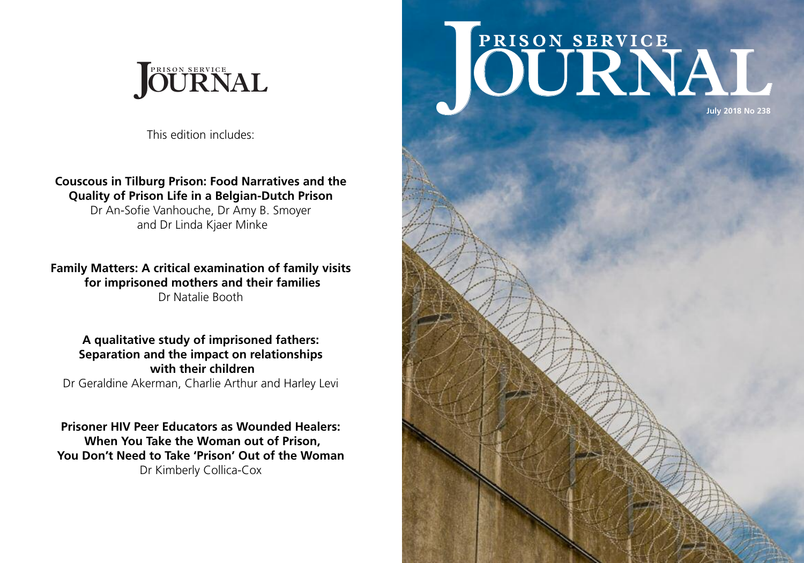# **July 2018 No 238 PRISON SE <sup>R</sup> <sup>I</sup> <sup>S</sup> <sup>O</sup> <sup>N</sup> <sup>S</sup> ERVICE JOURNAL**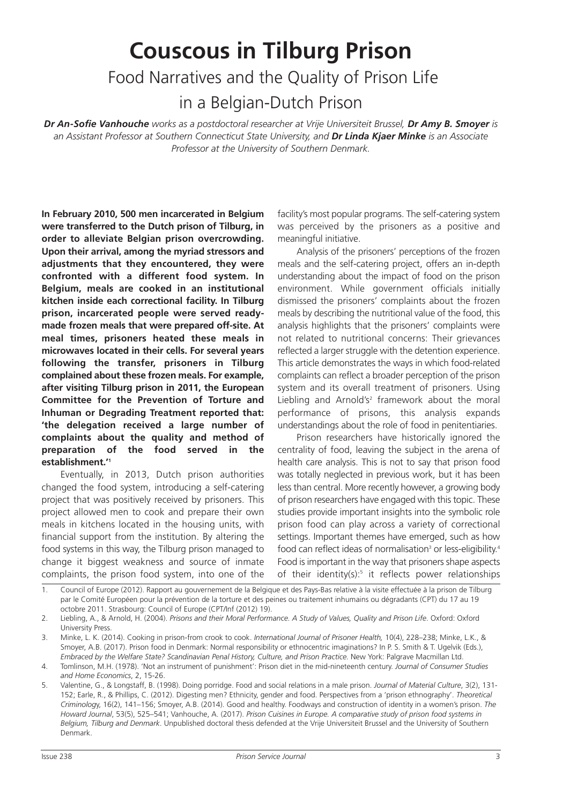# **Couscous in Tilburg Prison** Food Narratives and the Quality of Prison Life in a Belgian-Dutch Prison

Dr An-Sofie Vanhouche works as a postdoctoral researcher at Vriie Universiteit Brussel. Dr Amv B. Smover is *an Assistant Professor at Southern Connecticut State University, and Dr Linda Kjaer Minke is an Associate Professor at the University of Southern Denmark.*

**In February 2010, 500 men incarcerated in Belgium were transferred to the Dutch prison of Tilburg, in order to alleviate Belgian prison overcrowding. Upon their arrival, among the myriad stressors and adjustments that they encountered, they were confronted with a different food system. In Belgium, meals are cooked in an institutional kitchen inside each correctional facility. In Tilburg prison, incarcerated people were served readymade frozen meals that were prepared off-site. At meal times, prisoners heated these meals in microwaves located in their cells. For several years following the transfer, prisoners in Tilburg complained about these frozen meals. For example, after visiting Tilburg prison in 2011, the European Committee for the Prevention of Torture and Inhuman or Degrading Treatment reported that: 'the delegation received a large number of complaints about the quality and method of preparation of the food served in the establishment.' 1**

Eventually, in 2013, Dutch prison authorities changed the food system, introducing a self-catering project that was positively received by prisoners. This project allowed men to cook and prepare their own meals in kitchens located in the housing units, with financial support from the institution. By altering the food systems in this way, the Tilburg prison managed to change it biggest weakness and source of inmate complaints, the prison food system, into one of the

facility's most popular programs. The self-catering system was perceived by the prisoners as a positive and meaningful initiative.

Analysis of the prisoners' perceptions of the frozen meals and the self-catering project, offers an in-depth understanding about the impact of food on the prison environment. While government officials initially dismissed the prisoners' complaints about the frozen meals by describing the nutritional value of the food, this analysis highlights that the prisoners' complaints were not related to nutritional concerns: Their grievances reflected a larger struggle with the detention experience. This article demonstrates the ways in which food-related complaints can reflect a broader perception of the prison system and its overall treatment of prisoners. Using Liebling and Arnold's<sup>2</sup> framework about the moral performance of prisons, this analysis expands understandings about the role of food in penitentiaries.

Prison researchers have historically ignored the centrality of food, leaving the subject in the arena of health care analysis. This is not to say that prison food was totally neglected in previous work, but it has been less than central. More recently however, a growing body of prison researchers have engaged with this topic. These studies provide important insights into the symbolic role prison food can play across a variety of correctional settings. Important themes have emerged, such as how food can reflect ideas of normalisation<sup>3</sup> or less-eligibility.<sup>4</sup> Food is important in the way that prisoners shape aspects of their identity(s): <sup>5</sup> it reflects power relationships

<sup>1.</sup> Council of Europe (2012). Rapport au gouvernement de la Belgique et des Pays-Bas relative à la visite effectuée à la prison de Tilburg par le Comité Européen pour la prévention de la torture et des peines ou traitement inhumains ou dégradants (CPT) du 17 au 19 octobre 2011. Strasbourg: Council of Europe (CPT/Inf (2012) 19).

<sup>2.</sup> Liebling, A., & Arnold, H. (2004). *Prisons and their Moral Performance. A Study of Values, Quality and Prison Life*. Oxford: Oxford University Press.

<sup>3.</sup> Minke, L. K. (2014). Cooking in prison-from crook to cook. *International Journal of Prisoner Health,* 10(4), 228–238; Minke, L.K., & Smoyer, A.B. (2017). Prison food in Denmark: Normal responsibility or ethnocentric imaginations? In P. S. Smith & T. Ugelvik (Eds.), *Embraced by the Welfare State? Scandinavian Penal History, Culture, and Prison Practice.* New York: Palgrave Macmillan Ltd.

<sup>4.</sup> Tomlinson, M.H. (1978). 'Not an instrument of punishment': Prison diet in the mid-nineteenth century. *Journal of Consumer Studies and Home Economics*, 2, 15-26.

<sup>5.</sup> Valentine, G., & Longstaff, B. (1998). Doing porridge. Food and social relations in a male prison. *Journal of Material Culture*, 3(2), 131- 152; Earle, R., & Phillips, C. (2012). Digesting men? Ethnicity, gender and food. Perspectives from a 'prison ethnography'. *Theoretical Criminolog*y, 16(2), 141–156; Smoyer, A.B. (2014). Good and healthy. Foodways and construction of identity in a women's prison. *The Howard Journal*, 53(5), 525–541; Vanhouche, A. (2017). *Prison Cuisines in Europe. A comparative study of prison food systems in Belgium, Tilburg and Denmark*. Unpublished doctoral thesis defended at the Vrije Universiteit Brussel and the University of Southern Denmark.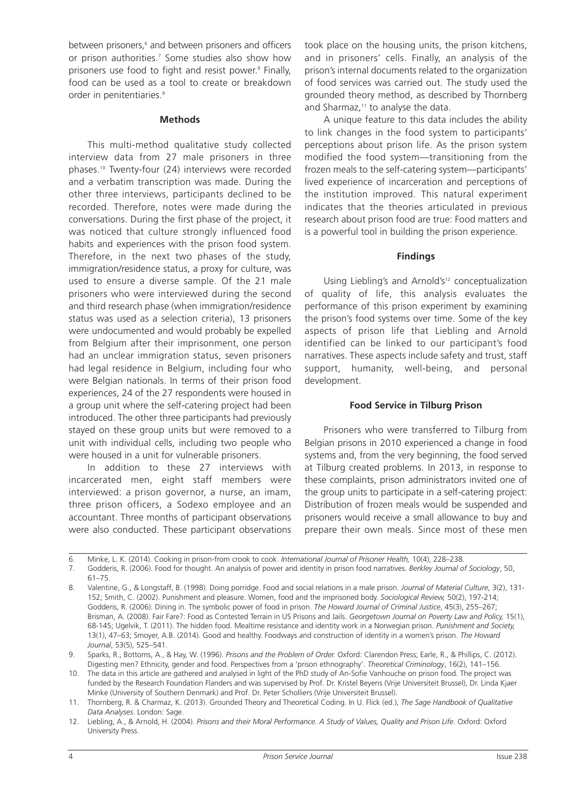between prisoners, <sup>6</sup> and between prisoners and officers or prison authorities. <sup>7</sup> Some studies also show how prisoners use food to fight and resist power. <sup>8</sup> Finally, food can be used as a tool to create or breakdown order in penitentiaries. 9

#### **Methods**

This multi-method qualitative study collected interview data from 27 male prisoners in three phases. <sup>10</sup> Twenty-four (24) interviews were recorded and a verbatim transcription was made. During the other three interviews, participants declined to be recorded. Therefore, notes were made during the conversations. During the first phase of the project, it was noticed that culture strongly influenced food habits and experiences with the prison food system. Therefore, in the next two phases of the study, immigration/residence status, a proxy for culture, was used to ensure a diverse sample. Of the 21 male prisoners who were interviewed during the second and third research phase (when immigration/residence status was used as a selection criteria), 13 prisoners were undocumented and would probably be expelled from Belgium after their imprisonment, one person had an unclear immigration status, seven prisoners had legal residence in Belgium, including four who were Belgian nationals. In terms of their prison food experiences, 24 of the 27 respondents were housed in a group unit where the self-catering project had been introduced. The other three participants had previously stayed on these group units but were removed to a unit with individual cells, including two people who were housed in a unit for vulnerable prisoners.

In addition to these 27 interviews with incarcerated men, eight staff members were interviewed: a prison governor, a nurse, an imam, three prison officers, a Sodexo employee and an accountant. Three months of participant observations were also conducted. These participant observations took place on the housing units, the prison kitchens, and in prisoners' cells. Finally, an analysis of the prison's internal documents related to the organization of food services was carried out. The study used the grounded theory method, as described by Thornberg and Sharmaz, <sup>11</sup> to analyse the data.

A unique feature to this data includes the ability to link changes in the food system to participants' perceptions about prison life. As the prison system modified the food system—transitioning from the frozen meals to the self-catering system—participants' lived experience of incarceration and perceptions of the institution improved. This natural experiment indicates that the theories articulated in previous research about prison food are true: Food matters and is a powerful tool in building the prison experience.

#### **Findings**

Using Liebling's and Arnold's<sup>12</sup> conceptualization of quality of life, this analysis evaluates the performance of this prison experiment by examining the prison's food systems over time. Some of the key aspects of prison life that Liebling and Arnold identified can be linked to our participant's food narratives. These aspects include safety and trust, staff support, humanity, well-being, and personal development.

#### **Food Service in Tilburg Prison**

Prisoners who were transferred to Tilburg from Belgian prisons in 2010 experienced a change in food systems and, from the very beginning, the food served at Tilburg created problems. In 2013, in response to these complaints, prison administrators invited one of the group units to participate in a self-catering project: Distribution of frozen meals would be suspended and prisoners would receive a small allowance to buy and prepare their own meals. Since most of these men

7. Godderis, R. (2006). Food for thought. An analysis of power and identity in prison food narratives. *Berkley Journal of Sociology*, 50, 61–75.

<sup>6.</sup> Minke, L. K. (2014). Cooking in prison-from crook to cook. *International Journal of Prisoner Health,* 10(4), 228–238.

<sup>8.</sup> Valentine, G., & Longstaff, B. (1998). Doing porridge. Food and social relations in a male prison. *Journal of Material Culture*, 3(2), 131- 152; Smith, C. (2002). Punishment and pleasure. Women, food and the imprisoned body. *Sociological Review,* 50(2), 197-214; Godderis, R. (2006). Dining in. The symbolic power of food in prison. *The Howard Journal of Criminal Justice*, 45(3), 255–267; Brisman, A. (2008). Fair Fare?: Food as Contested Terrain in US Prisons and Jails. *Georgetown Journal on Poverty Law and Policy,* 15(1), 68-145; Ugelvik, T. (2011). The hidden food. Mealtime resistance and identity work in a Norwegian prison. *Punishment and Society,* 13(1), 47–63; Smoyer, A.B. (2014). Good and healthy. Foodways and construction of identity in a women's prison. *The Howard Journal*, 53(5), 525–541.

<sup>9.</sup> Sparks, R., Bottoms, A., & Hay, W. (1996). *Prisons and the Problem of Order.* Oxford: Clarendon Press; Earle, R., & Phillips, C. (2012). Digesting men? Ethnicity, gender and food. Perspectives from a 'prison ethnography'. *Theoretical Criminology*, 16(2), 141–156.

<sup>10.</sup> The data in this article are gathered and analysed in light of the PhD study of An-Sofie Vanhouche on prison food. The project was funded by the Research Foundation Flanders and was supervised by Prof. Dr. Kristel Beyens (Vrije Universiteit Brussel), Dr. Linda Kjaer Minke (University of Southern Denmark) and Prof. Dr. Peter Scholliers (Vrije Universiteit Brussel).

<sup>11.</sup> Thornberg, R. & Charmaz, K. (2013). Grounded Theory and Theoretical Coding. In U. Flick (ed.), *The Sage Handbook of Qualitative Data Analyses*. London: Sage.

<sup>12.</sup> Liebling, A., & Arnold, H. (2004), Prisons and their Moral Performance. A Study of Values, Quality and Prison Life, Oxford: Oxford University Press.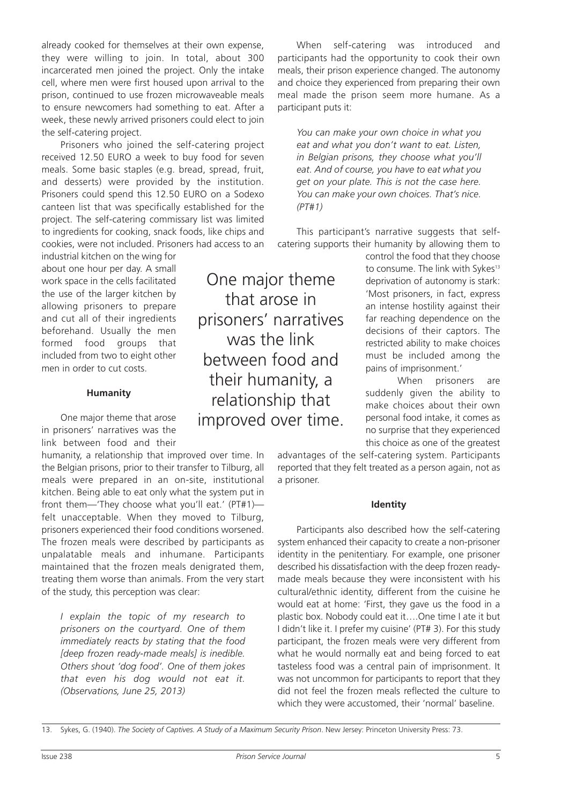already cooked for themselves at their own expense, they were willing to join. In total, about 300 incarcerated men joined the project. Only the intake cell, where men were first housed upon arrival to the prison, continued to use frozen microwaveable meals to ensure newcomers had something to eat. After a week, these newly arrived prisoners could elect to join the self-catering project.

Prisoners who joined the self-catering project received 12.50 EURO a week to buy food for seven meals. Some basic staples (e.g. bread, spread, fruit, and desserts) were provided by the institution. Prisoners could spend this 12.50 EURO on a Sodexo canteen list that was specifically established for the project. The self-catering commissary list was limited to ingredients for cooking, snack foods, like chips and cookies, were not included. Prisoners had access to an

industrial kitchen on the wing for about one hour per day. A small work space in the cells facilitated the use of the larger kitchen by allowing prisoners to prepare and cut all of their ingredients beforehand. Usually the men formed food groups that included from two to eight other men in order to cut costs.

#### **Humanity**

One major theme that arose in prisoners' narratives was the link between food and their

humanity, a relationship that improved over time. In the Belgian prisons, prior to their transfer to Tilburg, all meals were prepared in an on-site, institutional kitchen. Being able to eat only what the system put in front them—'They choose what you'll eat.' (PT#1) felt unacceptable. When they moved to Tilburg, prisoners experienced their food conditions worsened. The frozen meals were described by participants as unpalatable meals and inhumane. Participants maintained that the frozen meals denigrated them, treating them worse than animals. From the very start of the study, this perception was clear:

*I explain the topic of my research to prisoners on the courtyard. One of them immediately reacts by stating that the food [deep frozen ready-made meals] is inedible. Others shout 'dog food'. One of them jokes that even his dog would not eat it. (Observations, June 25, 2013)*

One major theme that arose in prisoners' narratives was the link between food and their humanity, a relationship that improved over time.

When self-catering was introduced and participants had the opportunity to cook their own meals, their prison experience changed. The autonomy and choice they experienced from preparing their own meal made the prison seem more humane. As a participant puts it:

*You can make your own choice in what you eat and what you don't want to eat. Listen, in Belgian prisons, they choose what you'll eat. And of course, you have to eat what you get on your plate. This is not the case here. You can make your own choices. That's nice. (PT#1)*

This participant's narrative suggests that selfcatering supports their humanity by allowing them to

> control the food that they choose to consume. The link with Sykes<sup>13</sup> deprivation of autonomy is stark: 'Most prisoners, in fact, express an intense hostility against their far reaching dependence on the decisions of their captors. The restricted ability to make choices must be included among the pains of imprisonment.'

> When prisoners are suddenly given the ability to make choices about their own personal food intake, it comes as no surprise that they experienced this choice as one of the greatest

advantages of the self-catering system. Participants reported that they felt treated as a person again, not as a prisoner.

#### **Identity**

Participants also described how the self-catering system enhanced their capacity to create a non-prisoner identity in the penitentiary. For example, one prisoner described his dissatisfaction with the deep frozen readymade meals because they were inconsistent with his cultural/ethnic identity, different from the cuisine he would eat at home: 'First, they gave us the food in a plastic box. Nobody could eat it….One time I ate it but I didn't like it. I prefer my cuisine' (PT# 3). For this study participant, the frozen meals were very different from what he would normally eat and being forced to eat tasteless food was a central pain of imprisonment. It was not uncommon for participants to report that they did not feel the frozen meals reflected the culture to which they were accustomed, their 'normal' baseline.

13. Sykes, G. (1940). *The Society of Captives. A Study of a Maximum Security Prison*. New Jersey: Princeton University Press: 73.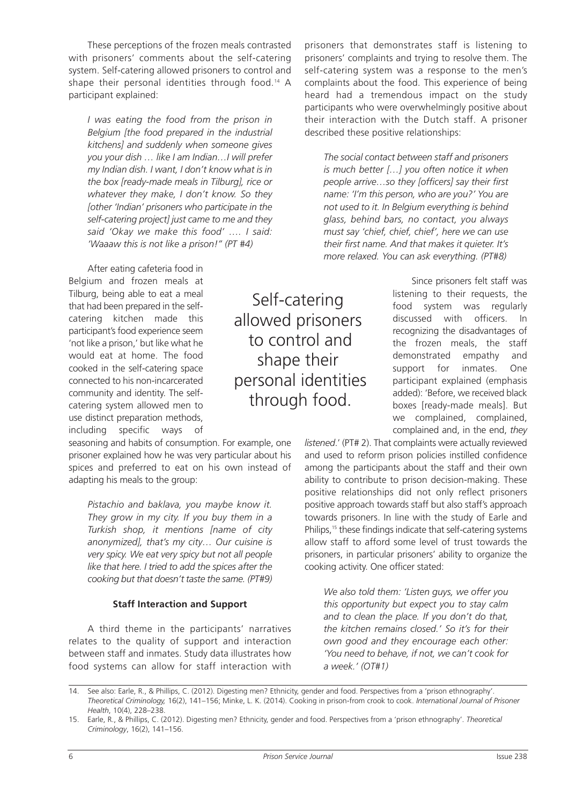These perceptions of the frozen meals contrasted with prisoners' comments about the self-catering system. Self-catering allowed prisoners to control and shape their personal identities through food. <sup>14</sup> A participant explained:

*I was eating the food from the prison in Belgium [the food prepared in the industrial kitchens] and suddenly when someone gives you your dish … like I am Indian…I will prefer my Indian dish. I want, I don't know what is in the box [ready-made meals in Tilburg], rice or whatever they make, I don't know. So they [other 'Indian' prisoners who participate in the self-catering project] just came to me and they said 'Okay we make this food' …. I said: 'Waaaw this is not like a prison!'' (PT #4)*

After eating cafeteria food in Belgium and frozen meals at Tilburg, being able to eat a meal that had been prepared in the selfcatering kitchen made this participant's food experience seem 'not like a prison,' but like what he would eat at home. The food cooked in the self-catering space connected to his non-incarcerated community and identity. The selfcatering system allowed men to use distinct preparation methods, including specific ways of

seasoning and habits of consumption. For example, one prisoner explained how he was very particular about his spices and preferred to eat on his own instead of adapting his meals to the group:

*Pistachio and baklava, you maybe know it. They grow in my city. If you buy them in a Turkish shop, it mentions [name of city anonymized], that's my city… Our cuisine is very spicy. We eat very spicy but not all people like that here. I tried to add the spices after the cooking but that doesn't taste the same. (PT#9)*

#### **Staff Interaction and Support**

A third theme in the participants' narratives relates to the quality of support and interaction between staff and inmates. Study data illustrates how food systems can allow for staff interaction with

Self-catering allowed prisoners to control and shape their personal identities through food.

prisoners that demonstrates staff is listening to prisoners' complaints and trying to resolve them. The self-catering system was a response to the men's complaints about the food. This experience of being heard had a tremendous impact on the study participants who were overwhelmingly positive about their interaction with the Dutch staff. A prisoner described these positive relationships:

*The social contact between staff and prisoners is much better […] you often notice it when people arrive…so they [officers] say their first name: 'I'm this person, who are you?' You are not used to it. In Belgium everything is behind glass, behind bars, no contact, you always must say 'chief, chief, chief', here we can use their first name. And that makes it quieter. It's more relaxed. You can ask everything. (PT#8)*

> Since prisoners felt staff was listening to their requests, the food system was regularly discussed with officers. In recognizing the disadvantages of the frozen meals, the staff demonstrated empathy and support for inmates. One participant explained (emphasis added): 'Before, we received black boxes [ready-made meals]. But we complained, complained, complained and, in the end, *they*

*listened*.' (PT# 2). That complaints were actually reviewed and used to reform prison policies instilled confidence among the participants about the staff and their own ability to contribute to prison decision-making. These positive relationships did not only reflect prisoners positive approach towards staff but also staff's approach towards prisoners. In line with the study of Earle and Philips,<sup>15</sup> these findings indicate that self-catering systems allow staff to afford some level of trust towards the prisoners, in particular prisoners' ability to organize the cooking activity. One officer stated:

*We also told them: 'Listen guys, we offer you this opportunity but expect you to stay calm and to clean the place. If you don't do that, the kitchen remains closed.' So it's for their own good and they encourage each other: 'You need to behave, if not, we can't cook for a week.' (OT#1)*

<sup>14.</sup> See also: Earle, R., & Phillips, C. (2012). Digesting men? Ethnicity, gender and food. Perspectives from a 'prison ethnography'. *Theoretical Criminology,* 16(2), 141–156; Minke, L. K. (2014). Cooking in prison-from crook to cook. *International Journal of Prisoner Health*, 10(4), 228–238.

<sup>15.</sup> Earle, R., & Phillips, C. (2012). Digesting men? Ethnicity, gender and food. Perspectives from a 'prison ethnography'. *Theoretical Criminology*, 16(2), 141–156.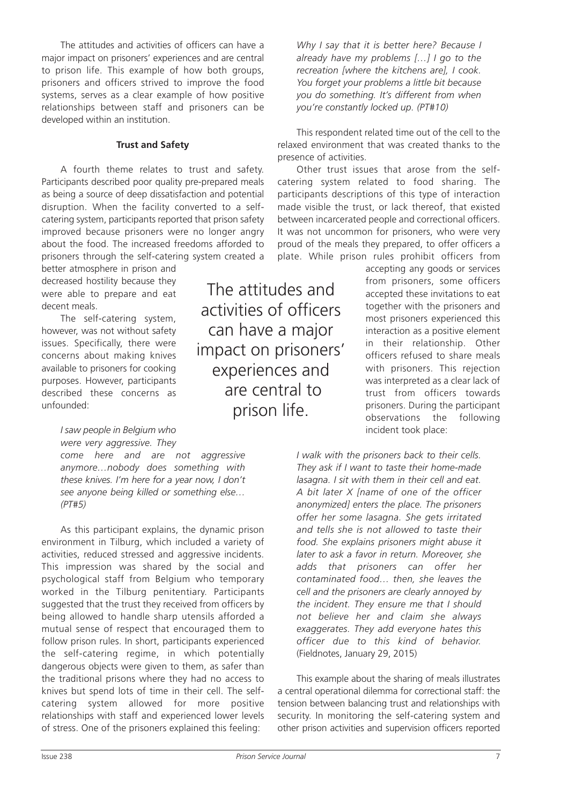The attitudes and activities of officers can have a major impact on prisoners' experiences and are central to prison life. This example of how both groups, prisoners and officers strived to improve the food systems, serves as a clear example of how positive relationships between staff and prisoners can be developed within an institution.

#### **Trust and Safety**

A fourth theme relates to trust and safety. Participants described poor quality pre-prepared meals as being a source of deep dissatisfaction and potential disruption. When the facility converted to a selfcatering system, participants reported that prison safety improved because prisoners were no longer angry about the food. The increased freedoms afforded to prisoners through the self-catering system created a

better atmosphere in prison and decreased hostility because they were able to prepare and eat decent meals.

The self-catering system, however, was not without safety issues. Specifically, there were concerns about making knives available to prisoners for cooking purposes. However, participants described these concerns as unfounded:

### *I saw people in Belgium who*

*were very aggressive. They come here and are not aggressive anymore…nobody does something with these knives. I'm here for a year now, I don't see anyone being killed or something else… (PT#5)*

As this participant explains, the dynamic prison environment in Tilburg, which included a variety of activities, reduced stressed and aggressive incidents. This impression was shared by the social and psychological staff from Belgium who temporary worked in the Tilburg penitentiary. Participants suggested that the trust they received from officers by being allowed to handle sharp utensils afforded a mutual sense of respect that encouraged them to follow prison rules. In short, participants experienced the self-catering regime, in which potentially dangerous objects were given to them, as safer than the traditional prisons where they had no access to knives but spend lots of time in their cell. The selfcatering system allowed for more positive relationships with staff and experienced lower levels of stress. One of the prisoners explained this feeling:

The attitudes and activities of officers can have a major impact on prisoners' experiences and are central to prison life.

*Why I say that it is better here? Because I already have my problems […] I go to the recreation [where the kitchens are], I cook. You forget your problems a little bit because you do something. It's different from when you're constantly locked up. (PT#10)*

This respondent related time out of the cell to the relaxed environment that was created thanks to the presence of activities.

Other trust issues that arose from the selfcatering system related to food sharing. The participants descriptions of this type of interaction made visible the trust, or lack thereof, that existed between incarcerated people and correctional officers. It was not uncommon for prisoners, who were very proud of the meals they prepared, to offer officers a plate. While prison rules prohibit officers from

> accepting any goods or services from prisoners, some officers accepted these invitations to eat together with the prisoners and most prisoners experienced this interaction as a positive element in their relationship. Other officers refused to share meals with prisoners. This rejection was interpreted as a clear lack of trust from officers towards prisoners. During the participant observations the following incident took place:

*I walk with the prisoners back to their cells. They ask if I want to taste their home-made lasagna. I sit with them in their cell and eat. A bit later X [name of one of the officer anonymized] enters the place. The prisoners offer her some lasagna. She gets irritated and tells she is not allowed to taste their food. She explains prisoners might abuse it later to ask a favor in return. Moreover, she adds that prisoners can offer her contaminated food… then, she leaves the cell and the prisoners are clearly annoyed by the incident. They ensure me that I should not believe her and claim she always exaggerates. They add everyone hates this officer due to this kind of behavior.* (Fieldnotes, January 29, 2015)

This example about the sharing of meals illustrates a central operational dilemma for correctional staff: the tension between balancing trust and relationships with security. In monitoring the self-catering system and other prison activities and supervision officers reported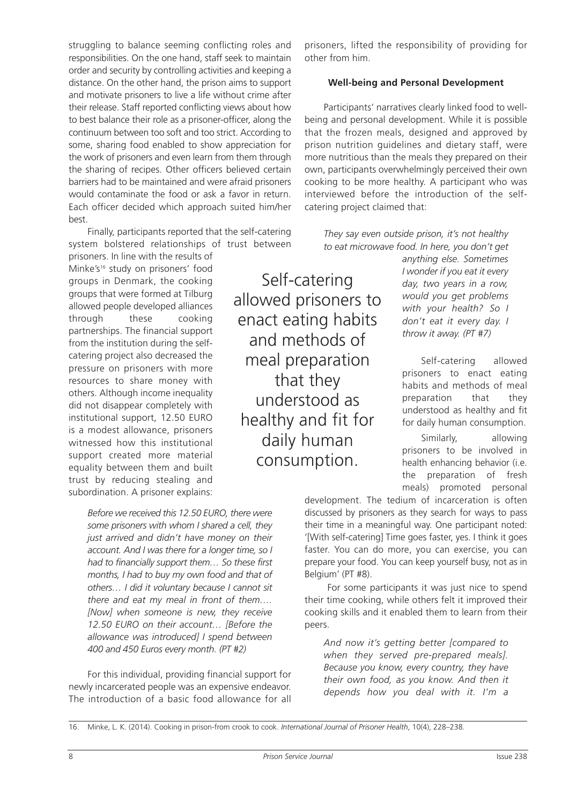struggling to balance seeming conflicting roles and responsibilities. On the one hand, staff seek to maintain order and security by controlling activities and keeping a distance. On the other hand, the prison aims to support and motivate prisoners to live a life without crime after their release. Staff reported conflicting views about how to best balance their role as a prisoner-officer, along the continuum between too soft and too strict. According to some, sharing food enabled to show appreciation for the work of prisoners and even learn from them through the sharing of recipes. Other officers believed certain barriers had to be maintained and were afraid prisoners would contaminate the food or ask a favor in return. Each officer decided which approach suited him/her best.

Finally, participants reported that the self-catering system bolstered relationships of trust between

prisoners. In line with the results of Minke's<sup>16</sup> study on prisoners' food groups in Denmark, the cooking groups that were formed at Tilburg allowed people developed alliances through these cooking partnerships. The financial support from the institution during the selfcatering project also decreased the pressure on prisoners with more resources to share money with others. Although income inequality did not disappear completely with institutional support, 12.50 EURO is a modest allowance, prisoners witnessed how this institutional support created more material equality between them and built trust by reducing stealing and subordination. A prisoner explains:

> *Before we received this 12.50 EURO, there were some prisoners with whom I shared a cell, they just arrived and didn't have money on their account. And I was there for a longer time, so I had to financially support them… So these first months, I had to buy my own food and that of others… I did it voluntary because I cannot sit there and eat my meal in front of them…. [Now] when someone is new, they receive 12.50 EURO on their account… [Before the allowance was introduced] I spend between 400 and 450 Euros every month. (PT #2)*

For this individual, providing financial support for newly incarcerated people was an expensive endeavor. The introduction of a basic food allowance for all

prisoners, lifted the responsibility of providing for other from him.

#### **Well-being and Personal Development**

Participants' narratives clearly linked food to wellbeing and personal development. While it is possible that the frozen meals, designed and approved by prison nutrition guidelines and dietary staff, were more nutritious than the meals they prepared on their own, participants overwhelmingly perceived their own cooking to be more healthy. A participant who was interviewed before the introduction of the selfcatering project claimed that:

*They say even outside prison, it's not healthy to eat microwave food. In here, you don't get*

Self-catering allowed prisoners to enact eating habits and methods of meal preparation that they understood as healthy and fit for daily human consumption.

*anything else. Sometimes I wonder if you eat it every day, two years in a row, would you get problems with your health? So I don't eat it every day. I throw it away. (PT #7)*

Self-catering allowed prisoners to enact eating habits and methods of meal preparation that they understood as healthy and fit for daily human consumption.

Similarly, allowing prisoners to be involved in health enhancing behavior (i.e. the preparation of fresh meals) promoted personal

development. The tedium of incarceration is often discussed by prisoners as they search for ways to pass their time in a meaningful way. One participant noted: '[With self-catering] Time goes faster, yes. I think it goes faster. You can do more, you can exercise, you can prepare your food. You can keep yourself busy, not as in Belgium' (PT #8).

For some participants it was just nice to spend their time cooking, while others felt it improved their cooking skills and it enabled them to learn from their peers.

*And now it's getting better [compared to when they served pre-prepared meals]. Because you know, every country, they have their own food, as you know. And then it depends how you deal with it. I'm a*

<sup>16.</sup> Minke, L. K. (2014). Cooking in prison-from crook to cook. *International Journal of Prisoner Health*, 10(4), 228–238.